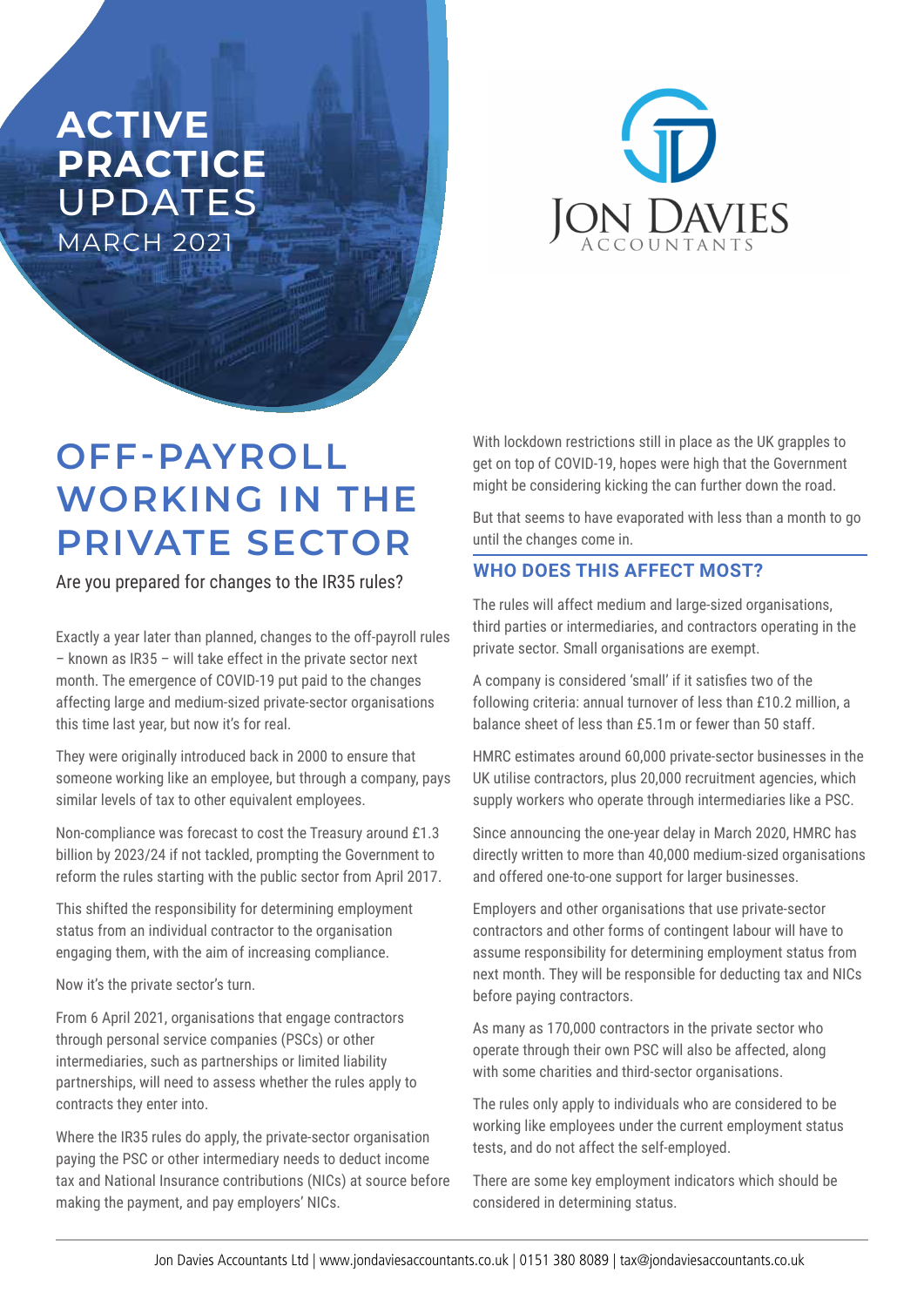## **ACTIVE PRACTICE**  UPDATES **MARCH 2021**



# **OFF-PAYROLL WORKING IN THE PRIVATE SECTOR**

Are you prepared for changes to the IR35 rules?

Exactly a year later than planned, changes to the off-payroll rules – known as IR35 – will take effect in the private sector next month. The emergence of COVID-19 put paid to the changes affecting large and medium-sized private-sector organisations this time last year, but now it's for real.

They were originally introduced back in 2000 to ensure that someone working like an employee, but through a company, pays similar levels of tax to other equivalent employees.

Non-compliance was forecast to cost the Treasury around £1.3 billion by 2023/24 if not tackled, prompting the Government to reform the rules starting with the public sector from April 2017.

This shifted the responsibility for determining employment status from an individual contractor to the organisation engaging them, with the aim of increasing compliance.

Now it's the private sector's turn.

From 6 April 2021, organisations that engage contractors through personal service companies (PSCs) or other intermediaries, such as partnerships or limited liability partnerships, will need to assess whether the rules apply to contracts they enter into.

Where the IR35 rules do apply, the private-sector organisation paying the PSC or other intermediary needs to deduct income tax and National Insurance contributions (NICs) at source before making the payment, and pay employers' NICs.

With lockdown restrictions still in place as the UK grapples to get on top of COVID-19, hopes were high that the Government might be considering kicking the can further down the road.

But that seems to have evaporated with less than a month to go until the changes come in.

### **WHO DOES THIS AFFECT MOST?**

The rules will affect medium and large-sized organisations, third parties or intermediaries, and contractors operating in the private sector. Small organisations are exempt.

A company is considered 'small' if it satisfies two of the following criteria: annual turnover of less than £10.2 million, a balance sheet of less than £5.1m or fewer than 50 staff.

HMRC estimates around 60,000 private-sector businesses in the UK utilise contractors, plus 20,000 recruitment agencies, which supply workers who operate through intermediaries like a PSC.

Since announcing the one-year delay in March 2020, HMRC has directly written to more than 40,000 medium-sized organisations and offered one-to-one support for larger businesses.

Employers and other organisations that use private-sector contractors and other forms of contingent labour will have to assume responsibility for determining employment status from next month. They will be responsible for deducting tax and NICs before paying contractors.

As many as 170,000 contractors in the private sector who operate through their own PSC will also be affected, along with some charities and third-sector organisations.

The rules only apply to individuals who are considered to be working like employees under the current employment status tests, and do not affect the self-employed.

There are some key employment indicators which should be considered in determining status.